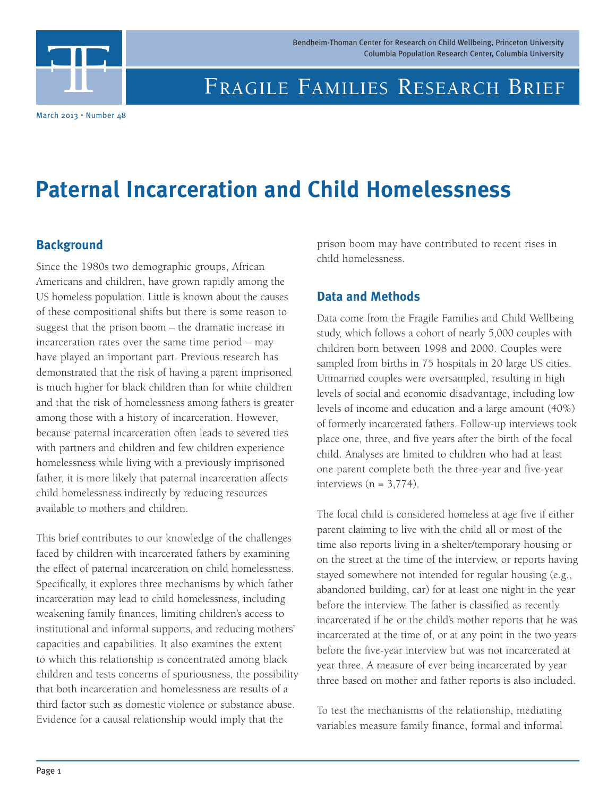Bendheim-Thoman Center for Research on Child Wellbeing, Princeton University Columbia Population Research Center, Columbia University

# FF

## FRAGILE FAMILIES RESEARCH BRIEF

March 2013 • Number 48

# **Paternal Incarceration and Child Homelessness**

#### **Background**

Since the 1980s two demographic groups, African Americans and children, have grown rapidly among the US homeless population. Little is known about the causes of these compositional shifts but there is some reason to suggest that the prison boom – the dramatic increase in incarceration rates over the same time period – may have played an important part. Previous research has demonstrated that the risk of having a parent imprisoned is much higher for black children than for white children and that the risk of homelessness among fathers is greater among those with a history of incarceration. However, because paternal incarceration often leads to severed ties with partners and children and few children experience homelessness while living with a previously imprisoned father, it is more likely that paternal incarceration affects child homelessness indirectly by reducing resources available to mothers and children.

This brief contributes to our knowledge of the challenges faced by children with incarcerated fathers by examining the effect of paternal incarceration on child homelessness. Specifically, it explores three mechanisms by which father incarceration may lead to child homelessness, including weakening family finances, limiting children's access to institutional and informal supports, and reducing mothers' capacities and capabilities. It also examines the extent to which this relationship is concentrated among black children and tests concerns of spuriousness, the possibility that both incarceration and homelessness are results of a third factor such as domestic violence or substance abuse. Evidence for a causal relationship would imply that the

prison boom may have contributed to recent rises in child homelessness.

#### **Data and Methods**

Data come from the Fragile Families and Child Wellbeing study, which follows a cohort of nearly 5,000 couples with children born between 1998 and 2000. Couples were sampled from births in 75 hospitals in 20 large US cities. Unmarried couples were oversampled, resulting in high levels of social and economic disadvantage, including low levels of income and education and a large amount (40%) of formerly incarcerated fathers. Follow-up interviews took place one, three, and five years after the birth of the focal child. Analyses are limited to children who had at least one parent complete both the three-year and five-year interviews  $(n = 3,774)$ .

The focal child is considered homeless at age five if either parent claiming to live with the child all or most of the time also reports living in a shelter/temporary housing or on the street at the time of the interview, or reports having stayed somewhere not intended for regular housing (e.g., abandoned building, car) for at least one night in the year before the interview. The father is classified as recently incarcerated if he or the child's mother reports that he was incarcerated at the time of, or at any point in the two years before the five-year interview but was not incarcerated at year three. A measure of ever being incarcerated by year three based on mother and father reports is also included.

To test the mechanisms of the relationship, mediating variables measure family finance, formal and informal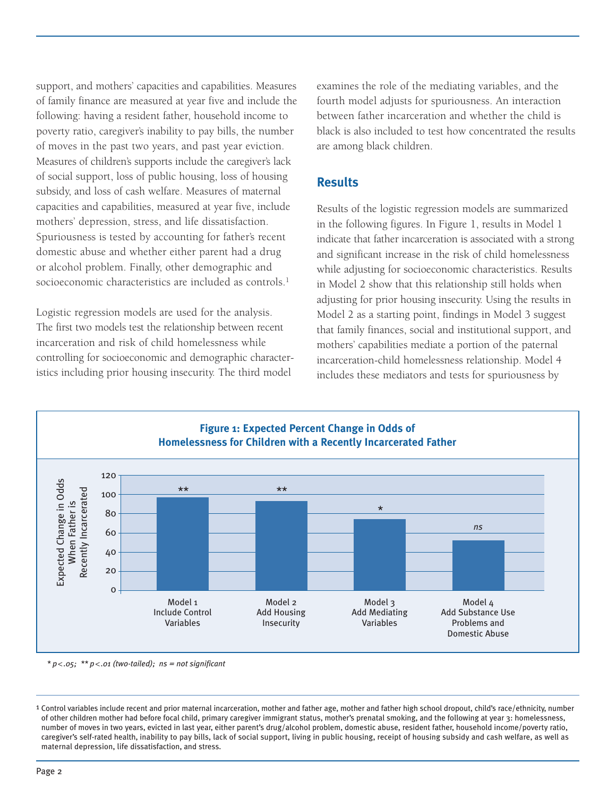support, and mothers' capacities and capabilities. Measures of family finance are measured at year five and include the following: having a resident father, household income to poverty ratio, caregiver's inability to pay bills, the number of moves in the past two years, and past year eviction. Measures of children's supports include the caregiver's lack of social support, loss of public housing, loss of housing subsidy, and loss of cash welfare. Measures of maternal capacities and capabilities, measured at year five, include mothers' depression, stress, and life dissatisfaction. Spuriousness is tested by accounting for father's recent domestic abuse and whether either parent had a drug or alcohol problem. Finally, other demographic and socioeconomic characteristics are included as controls. 1

Logistic regression models are used for the analysis. The first two models test the relationship between recent incarceration and risk of child homelessness while controlling for socioeconomic and demographic characteristics including prior housing insecurity. The third model

examines the role of the mediating variables, and the fourth model adjusts for spuriousness. An interaction between father incarceration and whether the child is black is also included to test how concentrated the results are among black children.

#### **Results**

Results of the logistic regression models are summarized in the following figures. In Figure 1, results in Model 1 indicate that father incarceration is associated with a strong and significant increase in the risk of child homelessness while adjusting for socioeconomic characteristics. Results in Model 2 show that this relationship still holds when adjusting for prior housing insecurity. Using the results in Model 2 as a starting point, findings in Model 3 suggest that family finances, social and institutional support, and mothers' capabilities mediate a portion of the paternal incarceration-child homelessness relationship. Model 4 includes these mediators and tests for spuriousness by



*\* p<.05; \*\* p<.01 (two-tailed); ns = not significant*

<sup>1</sup> Control variables include recent and prior maternal incarceration, mother and father age, mother and father high school dropout, child's race/ethnicity, number of other children mother had before focal child, primary caregiver immigrant status, mother's prenatal smoking, and the following at year 3: homelessness, number of moves in two years, evicted in last year, either parent's drug/alcohol problem, domestic abuse, resident father, household income/poverty ratio, caregiver's self-rated health, inability to pay bills, lack of social support, living in public housing, receipt of housing subsidy and cash welfare, as well as maternal depression, life dissatisfaction, and stress.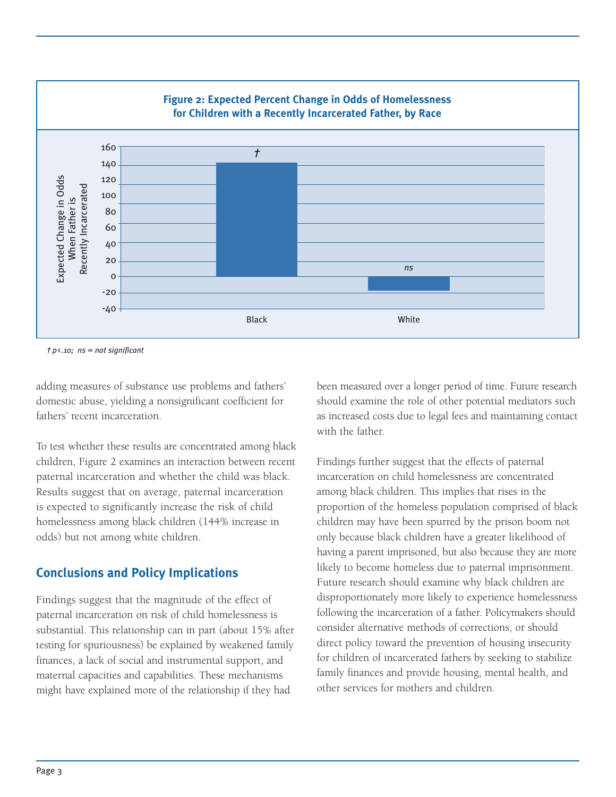

*† p*<*.10; ns = not significant*

adding measures of substance use problems and fathers' domestic abuse, yielding a nonsignificant coefficient for fathers' recent incarceration.

To test whether these results are concentrated among black children, Figure 2 examines an interaction between recent paternal incarceration and whether the child was black. Results suggest that on average, paternal incarceration is expected to significantly increase the risk of child homelessness among black children (144% increase in odds) but not among white children.

#### **Conclusions and Policy Implications**

Findings suggest that the magnitude of the effect of paternal incarceration on risk of child homelessness is substantial. This relationship can in part (about 15% after testing for spuriousness) be explained by weakened family finances, a lack of social and instrumental support, and maternal capacities and capabilities. These mechanisms might have explained more of the relationship if they had

been measured over a longer period of time. Future research should examine the role of other potential mediators such as increased costs due to legal fees and maintaining contact with the father

Findings further suggest that the effects of paternal incarceration on child homelessness are concentrated among black children. This implies that rises in the proportion of the homeless population comprised of black children may have been spurred by the prison boom not only because black children have a greater likelihood of having a parent imprisoned, but also because they are more likely to become homeless due to paternal imprisonment. Future research should examine why black children are disproportionately more likely to experience homelessness following the incarceration of a father. Policymakers should consider alternative methods of corrections, or should direct policy toward the prevention of housing insecurity for children of incarcerated fathers by seeking to stabilize family finances and provide housing, mental health, and other services for mothers and children.